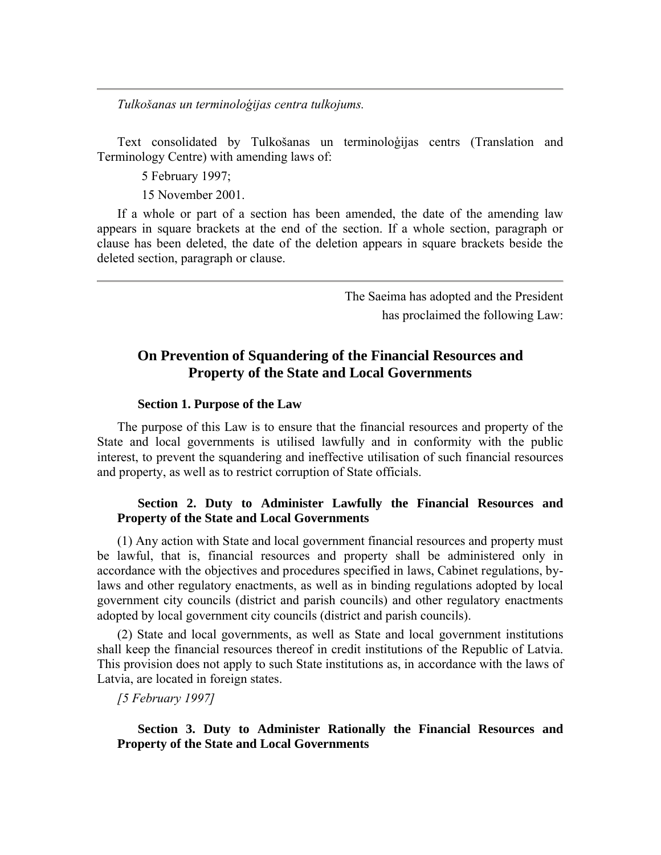*Tulkošanas un terminoloģijas centra tulkojums.*

Text consolidated by Tulkošanas un terminoloģijas centrs (Translation and Terminology Centre) with amending laws of:

5 February 1997;

15 November 2001.

If a whole or part of a section has been amended, the date of the amending law appears in square brackets at the end of the section. If a whole section, paragraph or clause has been deleted, the date of the deletion appears in square brackets beside the deleted section, paragraph or clause.

> The Saeima has adopted and the President has proclaimed the following Law:

# **On Prevention of Squandering of the Financial Resources and Property of the State and Local Governments**

#### **Section 1. Purpose of the Law**

The purpose of this Law is to ensure that the financial resources and property of the State and local governments is utilised lawfully and in conformity with the public interest, to prevent the squandering and ineffective utilisation of such financial resources and property, as well as to restrict corruption of State officials.

### **Section 2. Duty to Administer Lawfully the Financial Resources and Property of the State and Local Governments**

(1) Any action with State and local government financial resources and property must be lawful, that is, financial resources and property shall be administered only in accordance with the objectives and procedures specified in laws, Cabinet regulations, bylaws and other regulatory enactments, as well as in binding regulations adopted by local government city councils (district and parish councils) and other regulatory enactments adopted by local government city councils (district and parish councils).

(2) State and local governments, as well as State and local government institutions shall keep the financial resources thereof in credit institutions of the Republic of Latvia. This provision does not apply to such State institutions as, in accordance with the laws of Latvia, are located in foreign states.

*[5 February 1997]*

**Section 3. Duty to Administer Rationally the Financial Resources and Property of the State and Local Governments**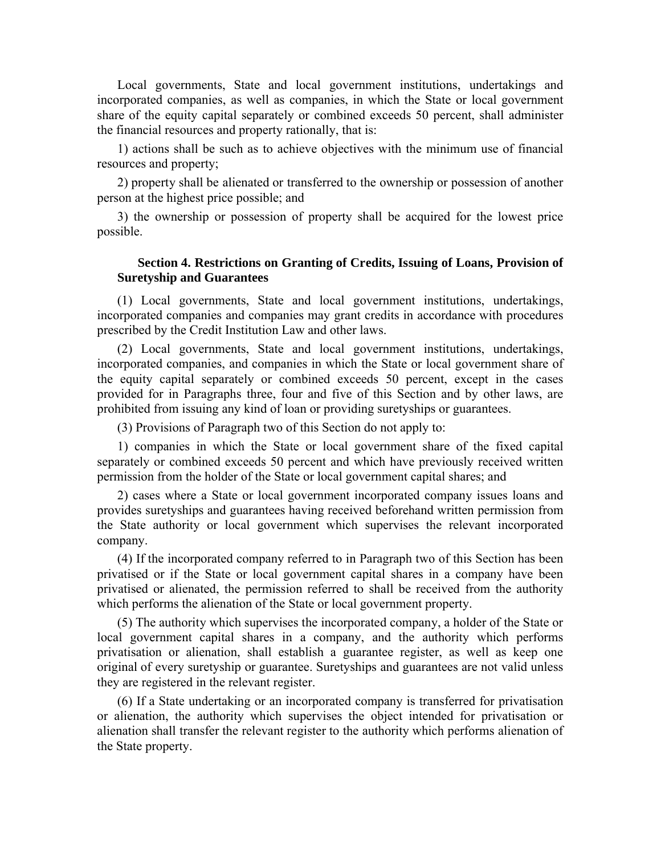Local governments, State and local government institutions, undertakings and incorporated companies, as well as companies, in which the State or local government share of the equity capital separately or combined exceeds 50 percent, shall administer the financial resources and property rationally, that is:

1) actions shall be such as to achieve objectives with the minimum use of financial resources and property;

2) property shall be alienated or transferred to the ownership or possession of another person at the highest price possible; and

3) the ownership or possession of property shall be acquired for the lowest price possible.

### **Section 4. Restrictions on Granting of Credits, Issuing of Loans, Provision of Suretyship and Guarantees**

(1) Local governments, State and local government institutions, undertakings, incorporated companies and companies may grant credits in accordance with procedures prescribed by the Credit Institution Law and other laws.

(2) Local governments, State and local government institutions, undertakings, incorporated companies, and companies in which the State or local government share of the equity capital separately or combined exceeds 50 percent, except in the cases provided for in Paragraphs three, four and five of this Section and by other laws, are prohibited from issuing any kind of loan or providing suretyships or guarantees.

(3) Provisions of Paragraph two of this Section do not apply to:

1) companies in which the State or local government share of the fixed capital separately or combined exceeds 50 percent and which have previously received written permission from the holder of the State or local government capital shares; and

2) cases where a State or local government incorporated company issues loans and provides suretyships and guarantees having received beforehand written permission from the State authority or local government which supervises the relevant incorporated company.

(4) If the incorporated company referred to in Paragraph two of this Section has been privatised or if the State or local government capital shares in a company have been privatised or alienated, the permission referred to shall be received from the authority which performs the alienation of the State or local government property.

(5) The authority which supervises the incorporated company, a holder of the State or local government capital shares in a company, and the authority which performs privatisation or alienation, shall establish a guarantee register, as well as keep one original of every suretyship or guarantee. Suretyships and guarantees are not valid unless they are registered in the relevant register.

(6) If a State undertaking or an incorporated company is transferred for privatisation or alienation, the authority which supervises the object intended for privatisation or alienation shall transfer the relevant register to the authority which performs alienation of the State property.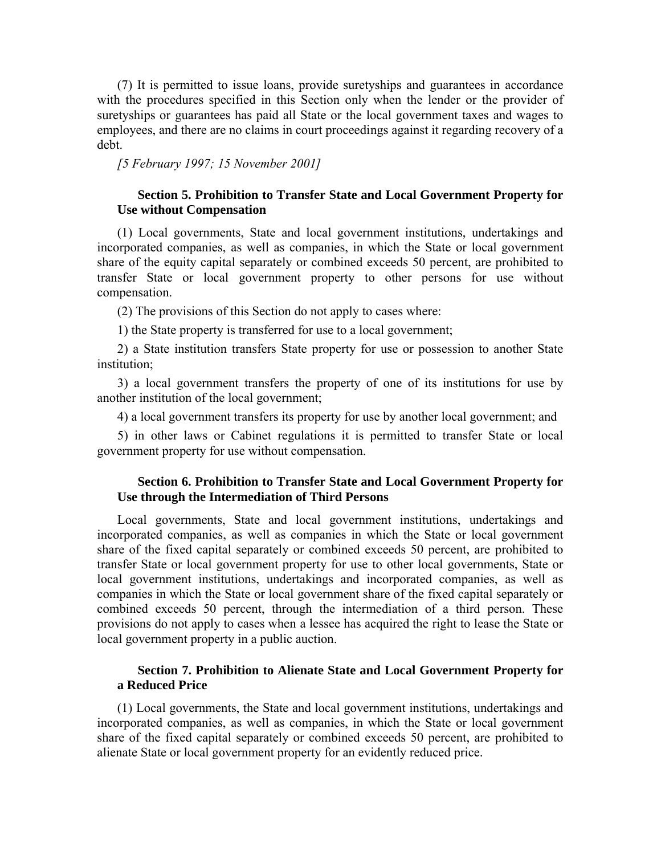(7) It is permitted to issue loans, provide suretyships and guarantees in accordance with the procedures specified in this Section only when the lender or the provider of suretyships or guarantees has paid all State or the local government taxes and wages to employees, and there are no claims in court proceedings against it regarding recovery of a debt.

*[5 February 1997; 15 November 2001]*

### **Section 5. Prohibition to Transfer State and Local Government Property for Use without Compensation**

(1) Local governments, State and local government institutions, undertakings and incorporated companies, as well as companies, in which the State or local government share of the equity capital separately or combined exceeds 50 percent, are prohibited to transfer State or local government property to other persons for use without compensation.

(2) The provisions of this Section do not apply to cases where:

1) the State property is transferred for use to a local government;

2) a State institution transfers State property for use or possession to another State institution;

3) a local government transfers the property of one of its institutions for use by another institution of the local government;

4) a local government transfers its property for use by another local government; and

5) in other laws or Cabinet regulations it is permitted to transfer State or local government property for use without compensation.

## **Section 6. Prohibition to Transfer State and Local Government Property for Use through the Intermediation of Third Persons**

Local governments, State and local government institutions, undertakings and incorporated companies, as well as companies in which the State or local government share of the fixed capital separately or combined exceeds 50 percent, are prohibited to transfer State or local government property for use to other local governments, State or local government institutions, undertakings and incorporated companies, as well as companies in which the State or local government share of the fixed capital separately or combined exceeds 50 percent, through the intermediation of a third person. These provisions do not apply to cases when a lessee has acquired the right to lease the State or local government property in a public auction.

## **Section 7. Prohibition to Alienate State and Local Government Property for a Reduced Price**

(1) Local governments, the State and local government institutions, undertakings and incorporated companies, as well as companies, in which the State or local government share of the fixed capital separately or combined exceeds 50 percent, are prohibited to alienate State or local government property for an evidently reduced price.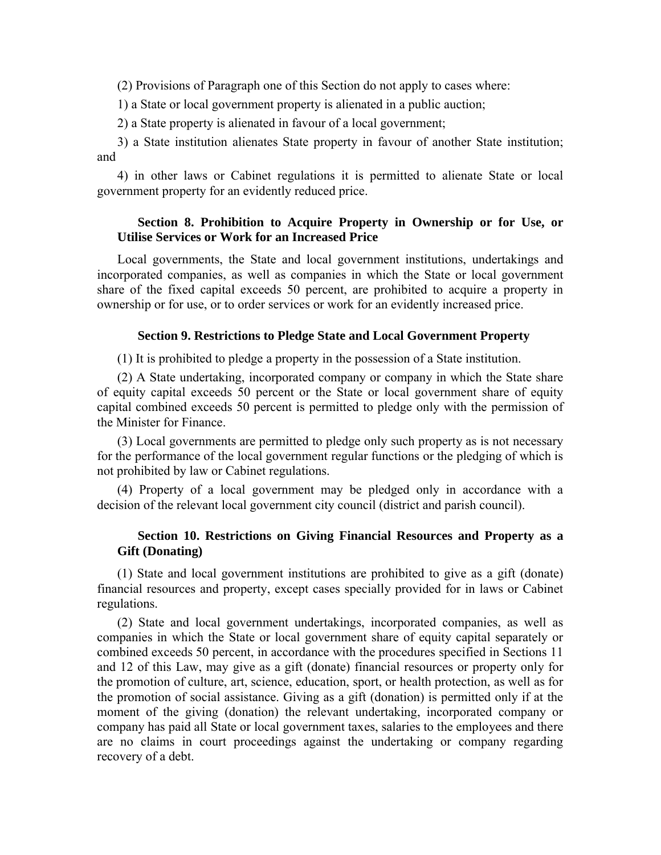(2) Provisions of Paragraph one of this Section do not apply to cases where:

1) a State or local government property is alienated in a public auction;

2) a State property is alienated in favour of a local government;

3) a State institution alienates State property in favour of another State institution; and

4) in other laws or Cabinet regulations it is permitted to alienate State or local government property for an evidently reduced price.

## **Section 8. Prohibition to Acquire Property in Ownership or for Use, or Utilise Services or Work for an Increased Price**

Local governments, the State and local government institutions, undertakings and incorporated companies, as well as companies in which the State or local government share of the fixed capital exceeds 50 percent, are prohibited to acquire a property in ownership or for use, or to order services or work for an evidently increased price.

## **Section 9. Restrictions to Pledge State and Local Government Property**

(1) It is prohibited to pledge a property in the possession of a State institution.

(2) A State undertaking, incorporated company or company in which the State share of equity capital exceeds 50 percent or the State or local government share of equity capital combined exceeds 50 percent is permitted to pledge only with the permission of the Minister for Finance.

(3) Local governments are permitted to pledge only such property as is not necessary for the performance of the local government regular functions or the pledging of which is not prohibited by law or Cabinet regulations.

(4) Property of a local government may be pledged only in accordance with a decision of the relevant local government city council (district and parish council).

## **Section 10. Restrictions on Giving Financial Resources and Property as a Gift (Donating)**

(1) State and local government institutions are prohibited to give as a gift (donate) financial resources and property, except cases specially provided for in laws or Cabinet regulations.

(2) State and local government undertakings, incorporated companies, as well as companies in which the State or local government share of equity capital separately or combined exceeds 50 percent, in accordance with the procedures specified in Sections 11 and 12 of this Law, may give as a gift (donate) financial resources or property only for the promotion of culture, art, science, education, sport, or health protection, as well as for the promotion of social assistance. Giving as a gift (donation) is permitted only if at the moment of the giving (donation) the relevant undertaking, incorporated company or company has paid all State or local government taxes, salaries to the employees and there are no claims in court proceedings against the undertaking or company regarding recovery of a debt.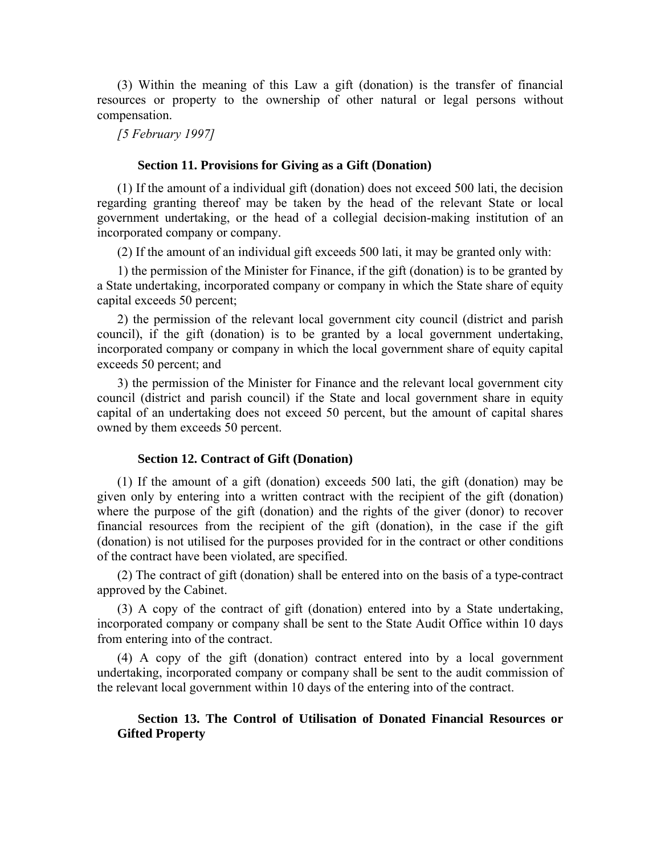(3) Within the meaning of this Law a gift (donation) is the transfer of financial resources or property to the ownership of other natural or legal persons without compensation.

*[5 February 1997]*

### **Section 11. Provisions for Giving as a Gift (Donation)**

(1) If the amount of a individual gift (donation) does not exceed 500 lati, the decision regarding granting thereof may be taken by the head of the relevant State or local government undertaking, or the head of a collegial decision-making institution of an incorporated company or company.

(2) If the amount of an individual gift exceeds 500 lati, it may be granted only with:

1) the permission of the Minister for Finance, if the gift (donation) is to be granted by a State undertaking, incorporated company or company in which the State share of equity capital exceeds 50 percent;

2) the permission of the relevant local government city council (district and parish council), if the gift (donation) is to be granted by a local government undertaking, incorporated company or company in which the local government share of equity capital exceeds 50 percent; and

3) the permission of the Minister for Finance and the relevant local government city council (district and parish council) if the State and local government share in equity capital of an undertaking does not exceed 50 percent, but the amount of capital shares owned by them exceeds 50 percent.

#### **Section 12. Contract of Gift (Donation)**

(1) If the amount of a gift (donation) exceeds 500 lati, the gift (donation) may be given only by entering into a written contract with the recipient of the gift (donation) where the purpose of the gift (donation) and the rights of the giver (donor) to recover financial resources from the recipient of the gift (donation), in the case if the gift (donation) is not utilised for the purposes provided for in the contract or other conditions of the contract have been violated, are specified.

(2) The contract of gift (donation) shall be entered into on the basis of a type-contract approved by the Cabinet.

(3) A copy of the contract of gift (donation) entered into by a State undertaking, incorporated company or company shall be sent to the State Audit Office within 10 days from entering into of the contract.

(4) A copy of the gift (donation) contract entered into by a local government undertaking, incorporated company or company shall be sent to the audit commission of the relevant local government within 10 days of the entering into of the contract.

## **Section 13. The Control of Utilisation of Donated Financial Resources or Gifted Property**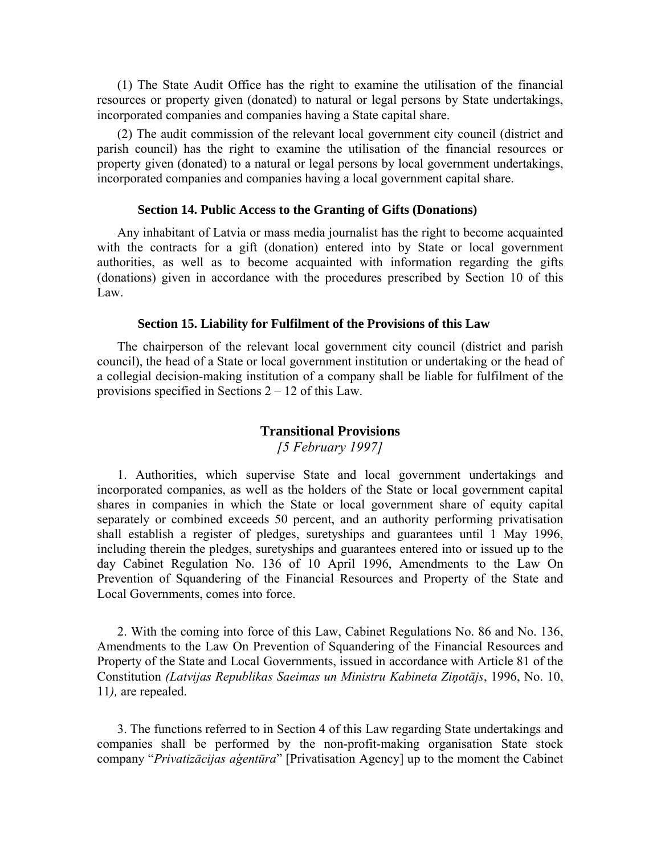(1) The State Audit Office has the right to examine the utilisation of the financial resources or property given (donated) to natural or legal persons by State undertakings, incorporated companies and companies having a State capital share.

(2) The audit commission of the relevant local government city council (district and parish council) has the right to examine the utilisation of the financial resources or property given (donated) to a natural or legal persons by local government undertakings, incorporated companies and companies having a local government capital share.

#### **Section 14. Public Access to the Granting of Gifts (Donations)**

Any inhabitant of Latvia or mass media journalist has the right to become acquainted with the contracts for a gift (donation) entered into by State or local government authorities, as well as to become acquainted with information regarding the gifts (donations) given in accordance with the procedures prescribed by Section 10 of this Law.

#### **Section 15. Liability for Fulfilment of the Provisions of this Law**

The chairperson of the relevant local government city council (district and parish council), the head of a State or local government institution or undertaking or the head of a collegial decision-making institution of a company shall be liable for fulfilment of the provisions specified in Sections 2 – 12 of this Law.

### **Transitional Provisions**

*[5 February 1997]*

1. Authorities, which supervise State and local government undertakings and incorporated companies, as well as the holders of the State or local government capital shares in companies in which the State or local government share of equity capital separately or combined exceeds 50 percent, and an authority performing privatisation shall establish a register of pledges, suretyships and guarantees until 1 May 1996, including therein the pledges, suretyships and guarantees entered into or issued up to the day Cabinet Regulation No. 136 of 10 April 1996, Amendments to the Law On Prevention of Squandering of the Financial Resources and Property of the State and Local Governments, comes into force.

2. With the coming into force of this Law, Cabinet Regulations No. 86 and No. 136, Amendments to the Law On Prevention of Squandering of the Financial Resources and Property of the State and Local Governments, issued in accordance with Article 81 of the Constitution *(Latvijas Republikas Saeimas un Ministru Kabineta Ziņotājs*, 1996, No. 10, 11*),* are repealed.

3. The functions referred to in Section 4 of this Law regarding State undertakings and companies shall be performed by the non-profit-making organisation State stock company "*Privatizācijas aģentūra*" [Privatisation Agency] up to the moment the Cabinet